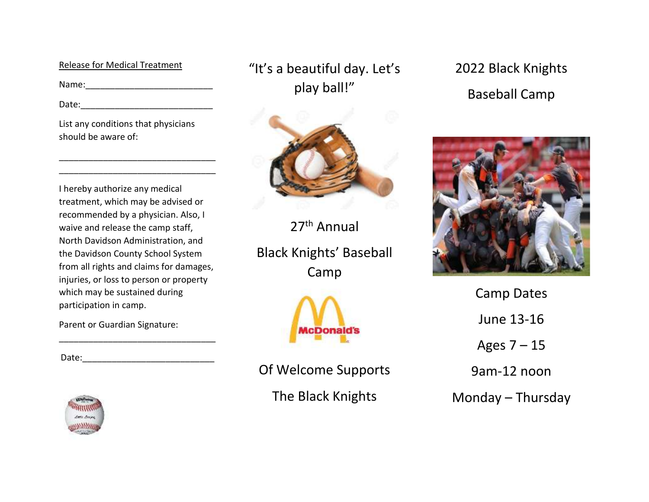#### Release for Medical Treatment

Name:\_\_\_\_\_\_\_\_\_\_\_\_\_\_\_\_\_\_\_\_\_\_\_\_\_\_

Date:\_\_\_\_\_\_\_\_\_\_\_\_\_\_\_\_\_\_\_\_\_\_\_\_\_\_\_

List any conditions that physicians should be aware of:

\_\_\_\_\_\_\_\_\_\_\_\_\_\_\_\_\_\_\_\_\_\_\_\_\_\_\_\_\_\_\_\_ \_\_\_\_\_\_\_\_\_\_\_\_\_\_\_\_\_\_\_\_\_\_\_\_\_\_\_\_\_\_\_\_

I hereby authorize any medical treatment, which may be advised or recommended by a physician. Also, I waive and release the camp staff, North Davidson Administration, and the Davidson County School System from all rights and claims for damages, injuries, or loss to person or property which may be sustained during participation in camp.

\_\_\_\_\_\_\_\_\_\_\_\_\_\_\_\_\_\_\_\_\_\_\_\_\_\_\_\_\_\_\_\_

Parent or Guardian Signature:

Date:\_\_\_\_\_\_\_\_\_\_\_\_\_\_\_\_\_\_\_\_\_\_\_\_\_\_\_



"It's a beautiful day. Let's play ball!"



27<sup>th</sup> Annual

Black Knights' Baseball Camp



Of Welcome Supports The Black Knights

2022 Black Knights Baseball Camp



Camp Dates June 13-16 Ages 7 – 15 9am-12 noon Monday – Thursday